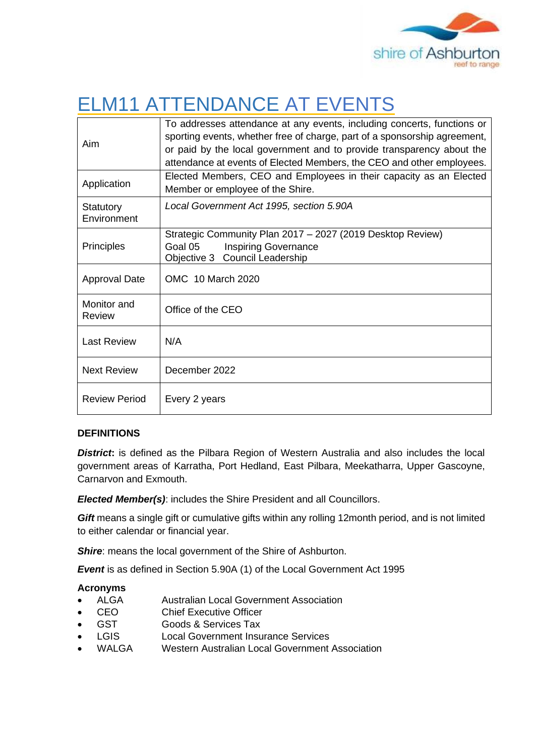

# ELM11 ATTENDANCE AT EVENTS

|                      | To addresses attendance at any events, including concerts, functions or   |
|----------------------|---------------------------------------------------------------------------|
| Aim                  | sporting events, whether free of charge, part of a sponsorship agreement, |
|                      | or paid by the local government and to provide transparency about the     |
|                      | attendance at events of Elected Members, the CEO and other employees.     |
| Application          | Elected Members, CEO and Employees in their capacity as an Elected        |
|                      | Member or employee of the Shire.                                          |
| Statutory            | Local Government Act 1995, section 5.90A                                  |
| Environment          |                                                                           |
| <b>Principles</b>    | Strategic Community Plan 2017 - 2027 (2019 Desktop Review)                |
|                      | Goal 05<br><b>Inspiring Governance</b>                                    |
|                      | Objective 3 Council Leadership                                            |
| <b>Approval Date</b> | OMC 10 March 2020                                                         |
|                      |                                                                           |
| Monitor and          | Office of the CEO                                                         |
| Review               |                                                                           |
| <b>Last Review</b>   | N/A                                                                       |
|                      |                                                                           |
| <b>Next Review</b>   | December 2022                                                             |
|                      |                                                                           |
| <b>Review Period</b> |                                                                           |
|                      | Every 2 years                                                             |

# **DEFINITIONS**

**District:** is defined as the Pilbara Region of Western Australia and also includes the local government areas of Karratha, Port Hedland, East Pilbara, Meekatharra, Upper Gascoyne, Carnarvon and Exmouth.

*Elected Member(s)*: includes the Shire President and all Councillors.

*Gift* means a single gift or cumulative gifts within any rolling 12month period, and is not limited to either calendar or financial year.

**Shire:** means the local government of the Shire of Ashburton.

*Event* is as defined in Section 5.90A (1) of the Local Government Act 1995

# **Acronyms**

- ALGA Australian Local Government Association
- CEO Chief Executive Officer
- GST **Goods & Services Tax**
- LGIS Local Government Insurance Services
- WALGA Western Australian Local Government Association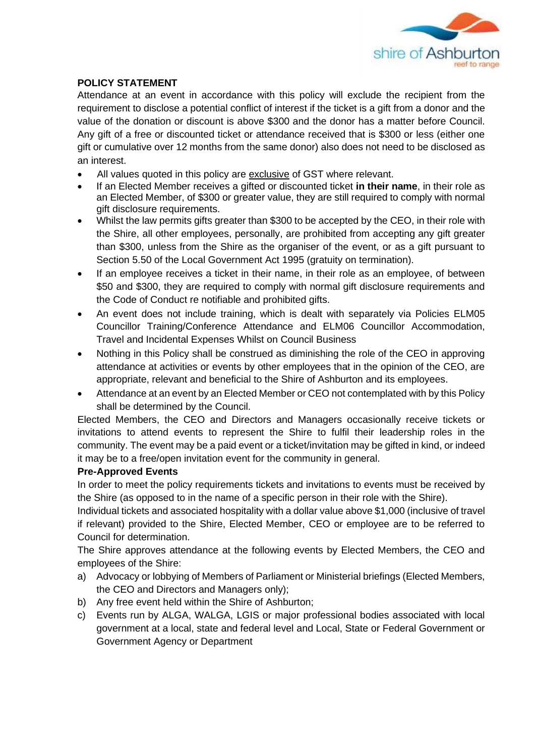

#### **POLICY STATEMENT**

Attendance at an event in accordance with this policy will exclude the recipient from the requirement to disclose a potential conflict of interest if the ticket is a gift from a donor and the value of the donation or discount is above \$300 and the donor has a matter before Council. Any gift of a free or discounted ticket or attendance received that is \$300 or less (either one gift or cumulative over 12 months from the same donor) also does not need to be disclosed as an interest.

- All values quoted in this policy are exclusive of GST where relevant.
- If an Elected Member receives a gifted or discounted ticket **in their name**, in their role as an Elected Member, of \$300 or greater value, they are still required to comply with normal gift disclosure requirements.
- Whilst the law permits gifts greater than \$300 to be accepted by the CEO, in their role with the Shire, all other employees, personally, are prohibited from accepting any gift greater than \$300, unless from the Shire as the organiser of the event, or as a gift pursuant to Section 5.50 of the Local Government Act 1995 (gratuity on termination).
- If an employee receives a ticket in their name, in their role as an employee, of between \$50 and \$300, they are required to comply with normal gift disclosure requirements and the Code of Conduct re notifiable and prohibited gifts.
- An event does not include training, which is dealt with separately via Policies ELM05 Councillor Training/Conference Attendance and ELM06 Councillor Accommodation, Travel and Incidental Expenses Whilst on Council Business
- Nothing in this Policy shall be construed as diminishing the role of the CEO in approving attendance at activities or events by other employees that in the opinion of the CEO, are appropriate, relevant and beneficial to the Shire of Ashburton and its employees.
- Attendance at an event by an Elected Member or CEO not contemplated with by this Policy shall be determined by the Council.

Elected Members, the CEO and Directors and Managers occasionally receive tickets or invitations to attend events to represent the Shire to fulfil their leadership roles in the community. The event may be a paid event or a ticket/invitation may be gifted in kind, or indeed it may be to a free/open invitation event for the community in general.

#### **Pre-Approved Events**

In order to meet the policy requirements tickets and invitations to events must be received by the Shire (as opposed to in the name of a specific person in their role with the Shire).

Individual tickets and associated hospitality with a dollar value above \$1,000 (inclusive of travel if relevant) provided to the Shire, Elected Member, CEO or employee are to be referred to Council for determination.

The Shire approves attendance at the following events by Elected Members, the CEO and employees of the Shire:

- a) Advocacy or lobbying of Members of Parliament or Ministerial briefings (Elected Members, the CEO and Directors and Managers only);
- b) Any free event held within the Shire of Ashburton;
- c) Events run by ALGA, WALGA, LGIS or major professional bodies associated with local government at a local, state and federal level and Local, State or Federal Government or Government Agency or Department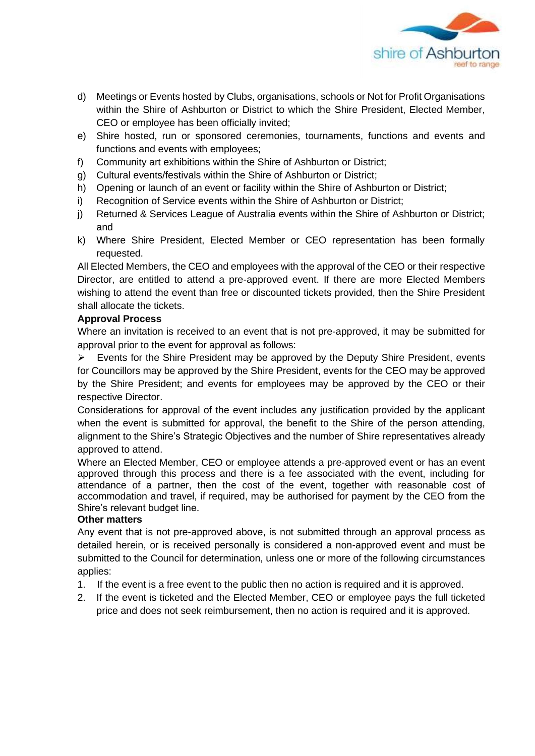

- d) Meetings or Events hosted by Clubs, organisations, schools or Not for Profit Organisations within the Shire of Ashburton or District to which the Shire President, Elected Member, CEO or employee has been officially invited;
- e) Shire hosted, run or sponsored ceremonies, tournaments, functions and events and functions and events with employees;
- f) Community art exhibitions within the Shire of Ashburton or District;
- g) Cultural events/festivals within the Shire of Ashburton or District;
- h) Opening or launch of an event or facility within the Shire of Ashburton or District;
- i) Recognition of Service events within the Shire of Ashburton or District;
- j) Returned & Services League of Australia events within the Shire of Ashburton or District; and
- k) Where Shire President, Elected Member or CEO representation has been formally requested.

All Elected Members, the CEO and employees with the approval of the CEO or their respective Director, are entitled to attend a pre-approved event. If there are more Elected Members wishing to attend the event than free or discounted tickets provided, then the Shire President shall allocate the tickets.

# **Approval Process**

Where an invitation is received to an event that is not pre-approved, it may be submitted for approval prior to the event for approval as follows:

➢ Events for the Shire President may be approved by the Deputy Shire President, events for Councillors may be approved by the Shire President, events for the CEO may be approved by the Shire President; and events for employees may be approved by the CEO or their respective Director.

Considerations for approval of the event includes any justification provided by the applicant when the event is submitted for approval, the benefit to the Shire of the person attending, alignment to the Shire's Strategic Objectives and the number of Shire representatives already approved to attend.

Where an Elected Member, CEO or employee attends a pre-approved event or has an event approved through this process and there is a fee associated with the event, including for attendance of a partner, then the cost of the event, together with reasonable cost of accommodation and travel, if required, may be authorised for payment by the CEO from the Shire's relevant budget line.

# **Other matters**

Any event that is not pre-approved above, is not submitted through an approval process as detailed herein, or is received personally is considered a non-approved event and must be submitted to the Council for determination, unless one or more of the following circumstances applies:

- 1. If the event is a free event to the public then no action is required and it is approved.
- 2. If the event is ticketed and the Elected Member, CEO or employee pays the full ticketed price and does not seek reimbursement, then no action is required and it is approved.